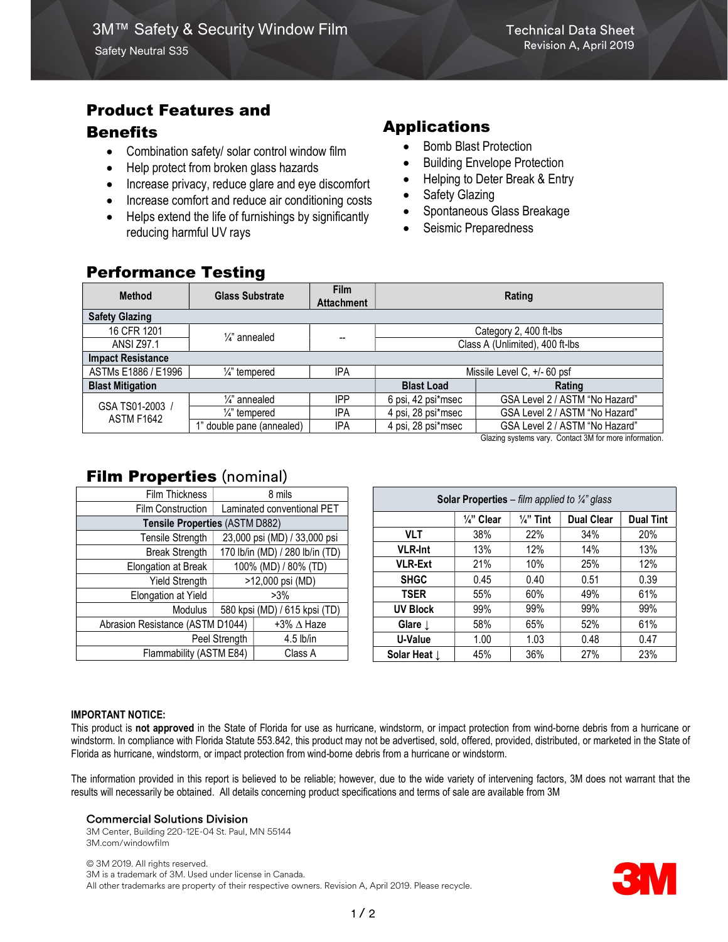# Product Features and

### **Benefits**

- Combination safety/ solar control window film
- Help protect from broken glass hazards
- Increase privacy, reduce glare and eye discomfort
- Increase comfort and reduce air conditioning costs
- Helps extend the life of furnishings by significantly reducing harmful UV rays

# Applications

- Bomb Blast Protection
- Building Envelope Protection
- Helping to Deter Break & Entry
- Safety Glazing
- Spontaneous Glass Breakage
- Seismic Preparedness

## Performance Testing

| <b>Method</b>                        | <b>Glass Substrate</b>    | <b>Film</b><br><b>Attachment</b> | Rating                          |                                |  |  |  |  |  |  |  |  |
|--------------------------------------|---------------------------|----------------------------------|---------------------------------|--------------------------------|--|--|--|--|--|--|--|--|
| <b>Safety Glazing</b>                |                           |                                  |                                 |                                |  |  |  |  |  |  |  |  |
| 16 CFR 1201                          | $\frac{1}{4}$ annealed    | --                               | Category 2, 400 ft-lbs          |                                |  |  |  |  |  |  |  |  |
| <b>ANSI Z97.1</b>                    |                           |                                  | Class A (Unlimited), 400 ft-lbs |                                |  |  |  |  |  |  |  |  |
| <b>Impact Resistance</b>             |                           |                                  |                                 |                                |  |  |  |  |  |  |  |  |
| ASTMs E1886 / E1996                  | $\frac{1}{4}$ tempered    | <b>IPA</b>                       | Missile Level C, +/- 60 psf     |                                |  |  |  |  |  |  |  |  |
| <b>Blast Mitigation</b>              |                           |                                  | <b>Blast Load</b>               | Rating                         |  |  |  |  |  |  |  |  |
| GSA TS01-2003 /<br><b>ASTM F1642</b> | $\frac{1}{4}$ annealed    | <b>IPP</b>                       | 6 psi, 42 psi*msec              | GSA Level 2 / ASTM "No Hazard" |  |  |  |  |  |  |  |  |
|                                      | $\frac{1}{4}$ " tempered  | <b>IPA</b>                       | GSA Level 2 / ASTM "No Hazard"  |                                |  |  |  |  |  |  |  |  |
|                                      | 1" double pane (annealed) | IPA                              | 4 psi, 28 psi*msec              | GSA Level 2 / ASTM "No Hazard" |  |  |  |  |  |  |  |  |

Glazing systems vary. Contact 3M for more information.

## **Film Properties (nominal)**

| Film Thickness                   | 8 mils                          |                   |  | <b>Solar Properties</b> – film applied to $\frac{1}{4}$ glass |                       |                      |                   |                  |  |  |
|----------------------------------|---------------------------------|-------------------|--|---------------------------------------------------------------|-----------------------|----------------------|-------------------|------------------|--|--|
| Film Construction                | Laminated conventional PET      |                   |  |                                                               |                       |                      |                   |                  |  |  |
| Tensile Properties (ASTM D882)   |                                 |                   |  |                                                               | $\frac{1}{4}$ " Clear | $\frac{1}{4}$ " Tint | <b>Dual Clear</b> | <b>Dual Tint</b> |  |  |
| Tensile Strength                 | 23,000 psi (MD) / 33,000 psi    |                   |  | <b>VLT</b>                                                    | 38%                   | 22%                  | 34%               | 20%              |  |  |
| <b>Break Strength</b>            | 170 lb/in (MD) / 280 lb/in (TD) |                   |  | <b>VLR-Int</b>                                                | 13%                   | 12%                  | 14%               | 13%              |  |  |
| Elongation at Break              | 100% (MD) / 80% (TD)            |                   |  | <b>VLR-Ext</b>                                                | 21%                   | 10%                  | 25%               | 12%              |  |  |
| Yield Strength                   | >12,000 psi (MD)                |                   |  | <b>SHGC</b>                                                   | 0.45                  | 0.40                 | 0.51              | 0.39             |  |  |
| Elongation at Yield              | $>3\%$                          |                   |  | <b>TSER</b>                                                   | 55%                   | 60%                  | 49%               | 61%              |  |  |
| <b>Modulus</b>                   | 580 kpsi (MD) / 615 kpsi (TD)   |                   |  | <b>UV Block</b>                                               | 99%                   | 99%                  | 99%               | 99%              |  |  |
| Abrasion Resistance (ASTM D1044) |                                 | +3% $\Delta$ Haze |  | Glare $\downarrow$                                            | 58%                   | 65%                  | 52%               | 61%              |  |  |
| Peel Strength                    |                                 | $4.5$ lb/in       |  | U-Value                                                       | 1.00                  | 1.03                 | 0.48              | 0.47             |  |  |
| Flammability (ASTM E84)          |                                 | Class A           |  | Solar Heat $\downarrow$                                       | 45%                   | 36%                  | 27%               | 23%              |  |  |
|                                  |                                 |                   |  |                                                               |                       |                      |                   |                  |  |  |

#### IMPORTANT NOTICE:

This product is not approved in the State of Florida for use as hurricane, windstorm, or impact protection from wind-borne debris from a hurricane or windstorm. In compliance with Florida Statute 553.842, this product may not be advertised, sold, offered, provided, distributed, or marketed in the State of Florida as hurricane, windstorm, or impact protection from wind-borne debris from a hurricane or windstorm.

The information provided in this report is believed to be reliable; however, due to the wide variety of intervening factors, 3M does not warrant that the results will necessarily be obtained. All details concerning product specifications and terms of sale are available from 3M

#### Commercial Solutions Division

3M Center, Building 220-12E-04 St. Paul, MN 55144 3M.com/windowfilm

© 3M 2019. All rights reserved. 3M is a trademark of 3M. Used under license in Canada. All other trademarks are property of their respective owners. Revision A, April 2019. Please recycle.